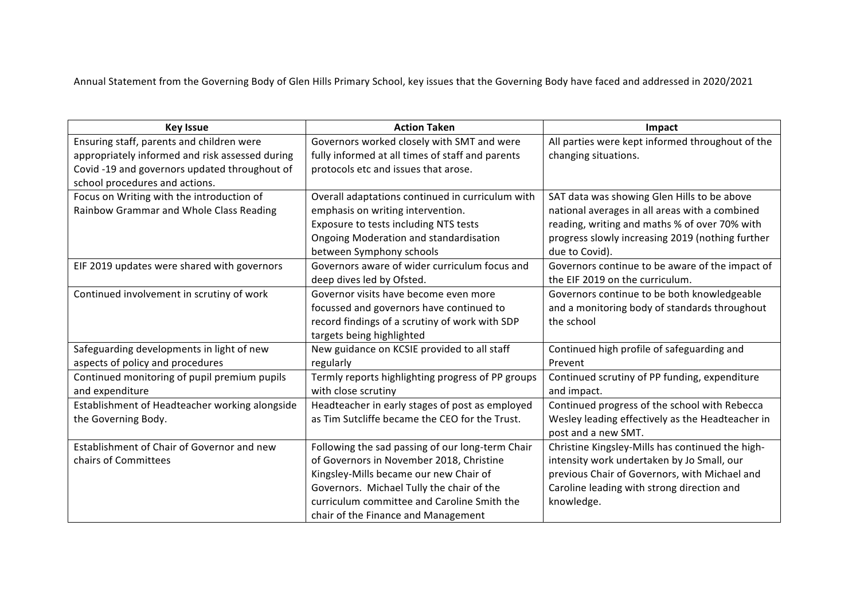Annual Statement from the Governing Body of Glen Hills Primary School, key issues that the Governing Body have faced and addressed in 2020/2021

| <b>Key Issue</b>                                | <b>Action Taken</b>                               | Impact                                           |
|-------------------------------------------------|---------------------------------------------------|--------------------------------------------------|
| Ensuring staff, parents and children were       | Governors worked closely with SMT and were        | All parties were kept informed throughout of the |
| appropriately informed and risk assessed during | fully informed at all times of staff and parents  | changing situations.                             |
| Covid -19 and governors updated throughout of   | protocols etc and issues that arose.              |                                                  |
| school procedures and actions.                  |                                                   |                                                  |
| Focus on Writing with the introduction of       | Overall adaptations continued in curriculum with  | SAT data was showing Glen Hills to be above      |
| Rainbow Grammar and Whole Class Reading         | emphasis on writing intervention.                 | national averages in all areas with a combined   |
|                                                 | Exposure to tests including NTS tests             | reading, writing and maths % of over 70% with    |
|                                                 | Ongoing Moderation and standardisation            | progress slowly increasing 2019 (nothing further |
|                                                 | between Symphony schools                          | due to Covid).                                   |
| EIF 2019 updates were shared with governors     | Governors aware of wider curriculum focus and     | Governors continue to be aware of the impact of  |
|                                                 | deep dives led by Ofsted.                         | the EIF 2019 on the curriculum.                  |
| Continued involvement in scrutiny of work       | Governor visits have become even more             | Governors continue to be both knowledgeable      |
|                                                 | focussed and governors have continued to          | and a monitoring body of standards throughout    |
|                                                 | record findings of a scrutiny of work with SDP    | the school                                       |
|                                                 | targets being highlighted                         |                                                  |
| Safeguarding developments in light of new       | New guidance on KCSIE provided to all staff       | Continued high profile of safeguarding and       |
| aspects of policy and procedures                | regularly                                         | Prevent                                          |
| Continued monitoring of pupil premium pupils    | Termly reports highlighting progress of PP groups | Continued scrutiny of PP funding, expenditure    |
| and expenditure                                 | with close scrutiny                               | and impact.                                      |
| Establishment of Headteacher working alongside  | Headteacher in early stages of post as employed   | Continued progress of the school with Rebecca    |
| the Governing Body.                             | as Tim Sutcliffe became the CEO for the Trust.    | Wesley leading effectively as the Headteacher in |
|                                                 |                                                   | post and a new SMT.                              |
| Establishment of Chair of Governor and new      | Following the sad passing of our long-term Chair  | Christine Kingsley-Mills has continued the high- |
| chairs of Committees                            | of Governors in November 2018, Christine          | intensity work undertaken by Jo Small, our       |
|                                                 | Kingsley-Mills became our new Chair of            | previous Chair of Governors, with Michael and    |
|                                                 | Governors. Michael Tully the chair of the         | Caroline leading with strong direction and       |
|                                                 | curriculum committee and Caroline Smith the       | knowledge.                                       |
|                                                 | chair of the Finance and Management               |                                                  |